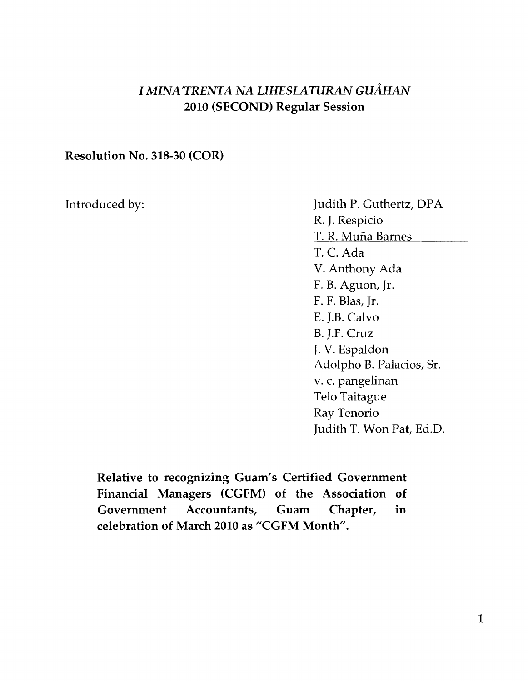## I *MINA'TRENTA NA LIHESLATURAN GtiAHAN*  2010 (SECOND) Regular Session

## Resolution No. 318-30 (COR)

Introduced by: Judith P. Guthertz, DPA R. J. Respicio T. R. Mufia Barnes T. C. Ada V. Anthony Ada F. B. Aguon, Jr. F. F. Blas, Jr. E. J.B. Calvo B. J.F. Cruz J. V. Espaldon Adolpho B. Palacios, Sr. v. c. pangelinan Telo Taitague Ray Tenorio Judith T. Won Pat, Ed.D.

Relative to recognizing Guam's Certified Government Financial Managers (CGFM) of the Association of Government Accountants, Guam Chapter, in celebration of March 2010 as "CGFM Month".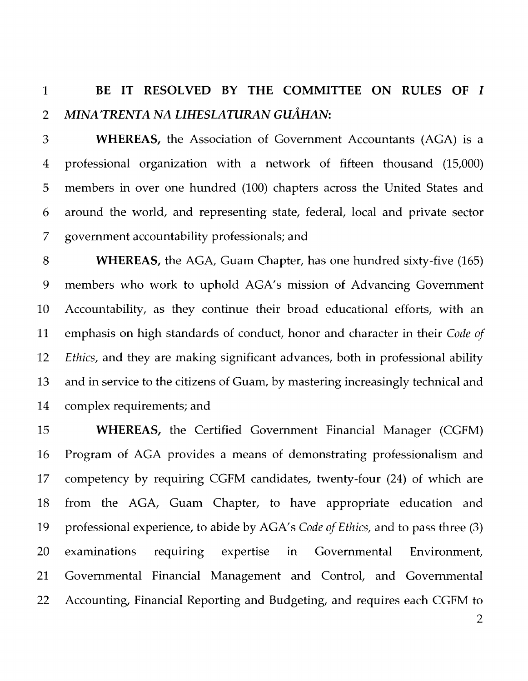## 1 **BE IT RESOL VED BY THE COMMITTEE ON RULES OF I**  *2 MINA'TRENTA NA LIHESLATURAN CuAHAN:*

3 **WHEREAS,** the Association of Government Accountants (AGA) is a 4 professional organization with a network of fifteen thousand (15,000) 5 members in over one hundred (100) chapters across the United States and 6 around the world, and representing state, federal, local and private sector 7 government accountability professionals; and

8 **WHEREAS,** the AGA, Guam Chapter, has one hundred sixty-five (165) 9 members who work to uphold AGA's mission of Advancing Government 10 Accountability, as they continue their broad educational efforts, with an 11 emphasis on high standards of conduct, honor and character in their *Code of 12 Ethics,* and they are making significant advances, both in professional ability 13 and in service to the citizens of Guam, by mastering increasingly technical and 14 complex requirements; and

15 **WHEREAS,** the Certified Government Financial Manager (CGFM) 16 Program of AGA provides a means of demonstrating professionalism and 17 competency by requiring CGFM candidates, twenty-four (24) of which are 18 from the AGA, Guam Chapter, to have appropriate education and 19 professional experience, to abide by AGA's *Code of Ethics,* and to pass three (3) 20 examinations requiring expertise in Governmental Environment, 21 Governmental Financial Management and Control, and Governmental 22 Accounting, Financial Reporting and Budgeting, and requires each CGFM to

2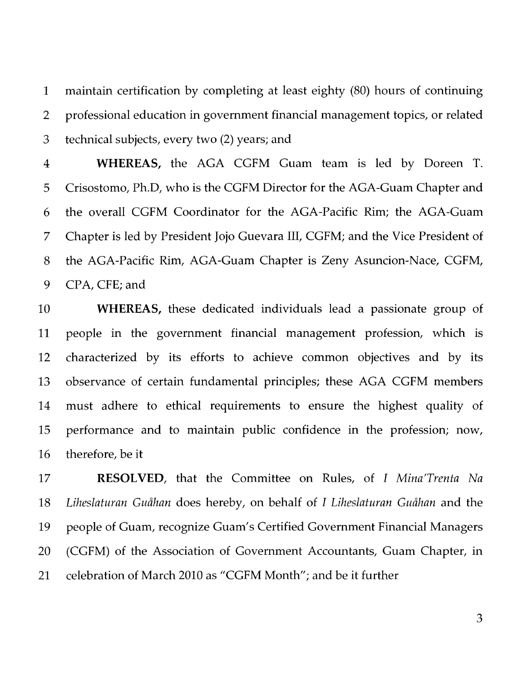1 maintain certification by completing at least eighty (80) hours of continuing 2 professional education in government financial management topics, or related 3 technical subjects, every two (2) years; and

4 **WHEREAS,** the AGA CGFM Guam team is led by Doreen T. 5 Crisostomo, Ph.D, who is the CGFM Director for the AGA-Guam Chapter and 6 the overall CGFM Coordinator for the AGA-Pacific Rim; the AGA-Guam 7 Chapter is led by President Jojo Guevara III, CGFM; and the Vice President of 8 the AGA-Pacific Rim, AGA-Guam Chapter is Zeny Asuncion-Nace, CGFM, 9 CPA, CFE; and

10 **WHEREAS,** these dedicated individuals lead a passionate group of 11 people in the government financial management profession, which is 12 characterized by its efforts to achieve common objectives and by its 13 observance of certain fundamental principles; these AGA CGFM members 14 must adhere to ethical requirements to ensure the highest quality of 15 performance and to maintain public confidence in the profession; now, 16 therefore, be it

17 **RESOL** VED, that the Committee on Rules, of *I Mina'Trenta Na*  18 Liheslaturan Guåhan does hereby, on behalf of *I Liheslaturan Guåhan* and the 19 people of Guam, recognize Guam's Certified Government Financial Managers 20 (CGFM) of the Association of Government Accountants, Guam Chapter, in 21 celebration of March 2010 as "CGFM Month"; and be it further

3